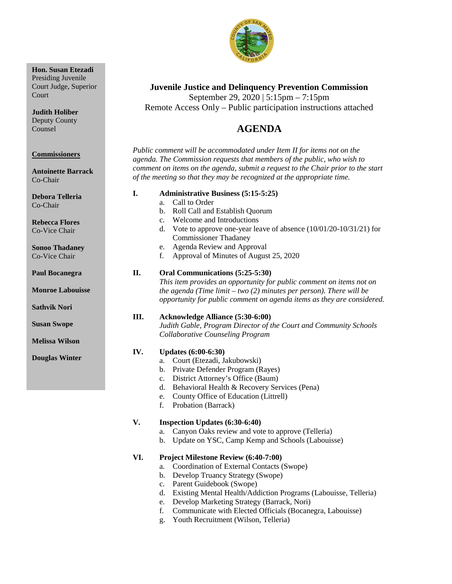

# **Juvenile Justice and Delinquency Prevention Commission** September 29, 2020 | 5:15pm – 7:15pm

Remote Access Only – Public participation instructions attached

# 4B**AGENDA**

*Public comment will be accommodated under Item II for items not on the agenda. The Commission requests that members of the public, who wish to comment on items on the agenda, submit a request to the Chair prior to the start of the meeting so that they may be recognized at the appropriate time.*

## **I. Administrative Business (5:15-5:25)**

- a. Call to Order
- b. Roll Call and Establish Quorum
- c. Welcome and Introductions
- d. Vote to approve one-year leave of absence (10/01/20-10/31/21) for Commissioner Thadaney
- e. Agenda Review and Approval
- f. Approval of Minutes of August 25, 2020

# **II. Oral Communications (5:25-5:30)**

*This item provides an opportunity for public comment on items not on the agenda (Time limit – two (2) minutes per person). There will be opportunity for public comment on agenda items as they are considered.*

# **III. Acknowledge Alliance (5:30-6:00)**

*Judith Gable, Program Director of the Court and Community Schools Collaborative Counseling Program*

## **IV. Updates (6:00-6:30)**

- a. Court (Etezadi, Jakubowski)
- b. Private Defender Program (Rayes)
- c. District Attorney's Office (Baum)
- d. Behavioral Health & Recovery Services (Pena)
- e. County Office of Education (Littrell)
- f. Probation (Barrack)

# **V. Inspection Updates (6:30-6:40)**

- a. Canyon Oaks review and vote to approve (Telleria)
- b. Update on YSC, Camp Kemp and Schools (Labouisse)

## **VI. Project Milestone Review (6:40-7:00)**

- a. Coordination of External Contacts (Swope)
- b. Develop Truancy Strategy (Swope)
- c. Parent Guidebook (Swope)
- d. Existing Mental Health/Addiction Programs (Labouisse, Telleria)
- e. Develop Marketing Strategy (Barrack, Nori)
- f. Communicate with Elected Officials (Bocanegra, Labouisse)
- g. Youth Recruitment (Wilson, Telleria)

# **Hon. Susan Etezadi**

Presiding Juvenile Court Judge, Superior **Court** 

**Judith Holiber** Deputy County Counsel

#### **Commissioners**

**Antoinette Barrack** Co-Chair

**Debora Telleria** Co-Chair

**Rebecca Flores** Co-Vice Chair

**Sonoo Thadaney** Co-Vice Chair

**Paul Bocanegra**

**Monroe Labouisse**

**Sathvik Nori**

**Susan Swope**

**Melissa Wilson**

**Douglas Winter**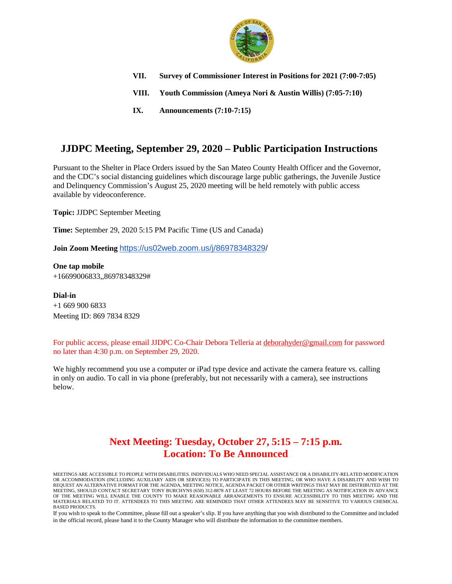

- **VII. Survey of Commissioner Interest in Positions for 2021 (7:00-7:05)**
- **VIII. Youth Commission (Ameya Nori & Austin Willis) (7:05-7:10)**
- **IX. Announcements (7:10-7:15)**

# **JJDPC Meeting, September 29, 2020 – Public Participation Instructions**

Pursuant to the Shelter in Place Orders issued by the San Mateo County Health Officer and the Governor, and the CDC's social distancing guidelines which discourage large public gatherings, the Juvenile Justice and Delinquency Commission's August 25, 2020 meeting will be held remotely with public access available by videoconference.

**Topic:** JJDPC September Meeting

**Time:** September 29, 2020 5:15 PM Pacific Time (US and Canada)

**Join Zoom Meeting** [https://us02web.zoom.us/j/86978348329/](https://us02web.zoom.us/j/86978348329)

**One tap mobile** +16699006833,,86978348329#

**Dial-in** +1 669 900 6833 Meeting ID: 869 7834 8329

For public access, please email JJDPC Co-Chair Debora Telleria at [deborahyder@gmail.com](mailto:deborahyder@gmail.com) for password no later than 4:30 p.m. on September 29, 2020.

We highly recommend you use a computer or iPad type device and activate the camera feature vs. calling in only on audio. To call in via phone (preferably, but not necessarily with a camera), see instructions below.

# **Next Meeting: Tuesday, October 27, 5:15 – 7:15 p.m. Location: To Be Announced**

If you wish to speak to the Committee, please fill out a speaker's slip. If you have anything that you wish distributed to the Committee and included in the official record, please hand it to the County Manager who will distribute the information to the committee members.

MEETINGS ARE ACCESSIBLE TO PEOPLE WITH DISABILITIES. INDIVIDUALS WHO NEED SPECIAL ASSISTANCE OR A DISABILITY-RELATED MODIFICATION OR ACCOMMODATION (INCLUDING AUXILIARY AIDS OR SERVICES) TO PARTICIPATE IN THIS MEETING, OR WHO HAVE A DISABILITY AND WISH TO REQUEST AN ALTERNATIVE FORMAT FOR THE AGENDA, MEETING NOTICE, AGENDA PACKET OR OTHER WRITINGS THAT MAY BE DISTRIBUTED AT THE MEETING, SHOULD CONTACT SECRETARY TONY BURCHYNS (650) 312-8878 AT LEAST 72 HOURS BEFORE THE MEETING AS NOTIFICATION IN ADVANCE OF THE MEETING WILL ENABLE THE COUNTY TO MAKE REASONABLE ARRANGEMENTS TO ENSURE ACCESSIBILITY TO THIS MEETING AND THE MATERIALS RELATED TO IT. ATTENDEES TO THIS MEETING ARE REMINDED THAT OTHER ATTENDEES MAY BE SENSITIVE TO VARIOUS CHEMICAL BASED PRODUCTS.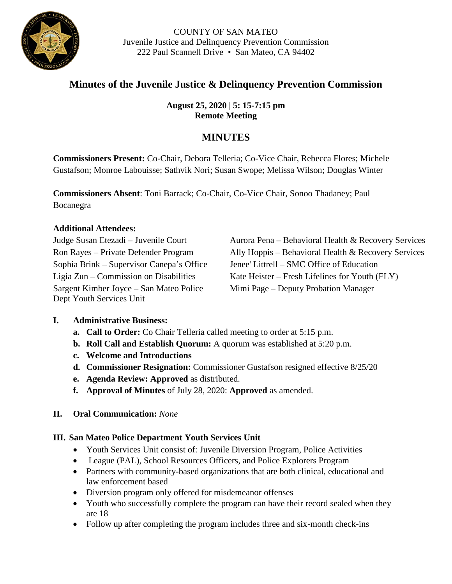

# **Minutes of the Juvenile Justice & Delinquency Prevention Commission**

**August 25, 2020 | 5: 15-7:15 pm Remote Meeting**

# **MINUTES**

**Commissioners Present:** Co-Chair, Debora Telleria; Co-Vice Chair, Rebecca Flores; Michele Gustafson; Monroe Labouisse; Sathvik Nori; Susan Swope; Melissa Wilson; Douglas Winter

**Commissioners Absent**: Toni Barrack; Co-Chair, Co-Vice Chair, Sonoo Thadaney; Paul Bocanegra

# **Additional Attendees:**

Sophia Brink – Supervisor Canepa's Office Jenee' Littrell – SMC Office of Education Sargent Kimber Joyce – San Mateo Police Dept Youth Services Unit

Judge Susan Etezadi – Juvenile Court Aurora Pena – Behavioral Health & Recovery Services Ron Rayes – Private Defender Program Ally Hoppis – Behavioral Health & Recovery Services Ligia Zun – Commission on Disabilities Kate Heister – Fresh Lifelines for Youth (FLY) Mimi Page – Deputy Probation Manager

# **I. Administrative Business:**

- **a. Call to Order:** Co Chair Telleria called meeting to order at 5:15 p.m.
- **b. Roll Call and Establish Quorum:** A quorum was established at 5:20 p.m.
- **c. Welcome and Introductions**
- **d. Commissioner Resignation:** Commissioner Gustafson resigned effective 8/25/20
- **e. Agenda Review: Approved** as distributed.
- **f. Approval of Minutes** of July 28, 2020: **Approved** as amended.
- **II. Oral Communication:** *None*

# **III. San Mateo Police Department Youth Services Unit**

- Youth Services Unit consist of: Juvenile Diversion Program, Police Activities
- League (PAL), School Resources Officers, and Police Explorers Program
- Partners with community-based organizations that are both clinical, educational and law enforcement based
- Diversion program only offered for misdemeanor offenses
- Youth who successfully complete the program can have their record sealed when they are 18
- Follow up after completing the program includes three and six-month check-ins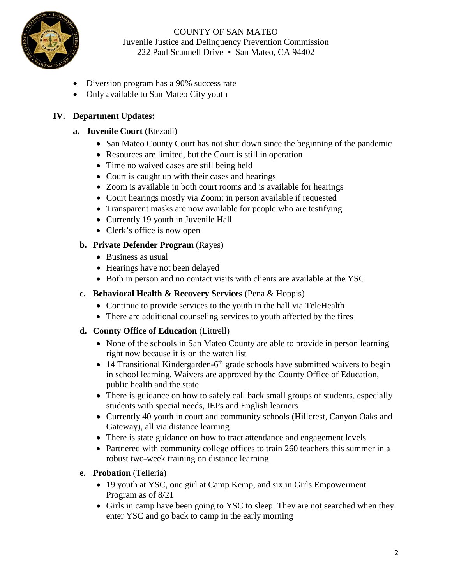

- Diversion program has a 90% success rate
- Only available to San Mateo City youth

# **IV. Department Updates:**

- **a. Juvenile Court** (Etezadi)
	- San Mateo County Court has not shut down since the beginning of the pandemic
	- Resources are limited, but the Court is still in operation
	- Time no waived cases are still being held
	- Court is caught up with their cases and hearings
	- Zoom is available in both court rooms and is available for hearings
	- Court hearings mostly via Zoom; in person available if requested
	- Transparent masks are now available for people who are testifying
	- Currently 19 youth in Juvenile Hall
	- Clerk's office is now open

# **b. Private Defender Program** (Rayes)

- Business as usual
- Hearings have not been delayed
- Both in person and no contact visits with clients are available at the YSC
- **c. Behavioral Health & Recovery Services** (Pena & Hoppis)
	- Continue to provide services to the youth in the hall via TeleHealth
	- There are additional counseling services to youth affected by the fires
- **d. County Office of Education** (Littrell)
	- None of the schools in San Mateo County are able to provide in person learning right now because it is on the watch list
	- 14 Transitional Kindergarden- $6<sup>th</sup>$  grade schools have submitted waivers to begin in school learning. Waivers are approved by the County Office of Education, public health and the state
	- There is guidance on how to safely call back small groups of students, especially students with special needs, IEPs and English learners
	- Currently 40 youth in court and community schools (Hillcrest, Canyon Oaks and Gateway), all via distance learning
	- There is state guidance on how to tract attendance and engagement levels
	- Partnered with community college offices to train 260 teachers this summer in a robust two-week training on distance learning
- **e. Probation** (Telleria)
	- 19 youth at YSC, one girl at Camp Kemp, and six in Girls Empowerment Program as of 8/21
	- Girls in camp have been going to YSC to sleep. They are not searched when they enter YSC and go back to camp in the early morning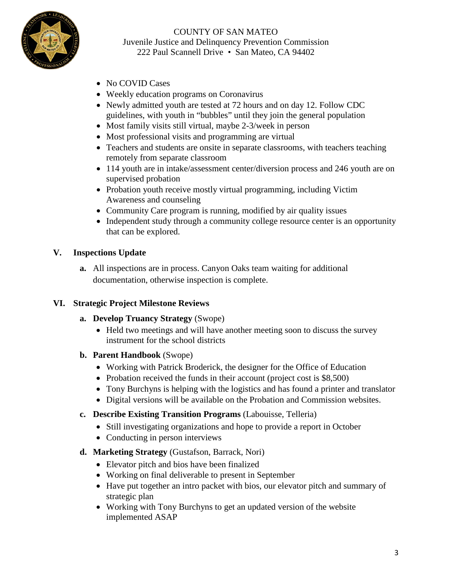

- No COVID Cases
- Weekly education programs on Coronavirus
- Newly admitted youth are tested at 72 hours and on day 12. Follow CDC guidelines, with youth in "bubbles" until they join the general population
- Most family visits still virtual, maybe 2-3/week in person
- Most professional visits and programming are virtual
- Teachers and students are onsite in separate classrooms, with teachers teaching remotely from separate classroom
- 114 youth are in intake/assessment center/diversion process and 246 youth are on supervised probation
- Probation youth receive mostly virtual programming, including Victim Awareness and counseling
- Community Care program is running, modified by air quality issues
- Independent study through a community college resource center is an opportunity that can be explored.

# **V. Inspections Update**

**a.** All inspections are in process. Canyon Oaks team waiting for additional documentation, otherwise inspection is complete.

# **VI. Strategic Project Milestone Reviews**

- **a. Develop Truancy Strategy** (Swope)
	- Held two meetings and will have another meeting soon to discuss the survey instrument for the school districts
- **b. Parent Handbook** (Swope)
	- Working with Patrick Broderick, the designer for the Office of Education
	- Probation received the funds in their account (project cost is \$8,500)
	- Tony Burchyns is helping with the logistics and has found a printer and translator
	- Digital versions will be available on the Probation and Commission websites.
- **c. Describe Existing Transition Programs** (Labouisse, Telleria)
	- Still investigating organizations and hope to provide a report in October
	- Conducting in person interviews
- **d. Marketing Strategy** (Gustafson, Barrack, Nori)
	- Elevator pitch and bios have been finalized
	- Working on final deliverable to present in September
	- Have put together an intro packet with bios, our elevator pitch and summary of strategic plan
	- Working with Tony Burchyns to get an updated version of the website implemented ASAP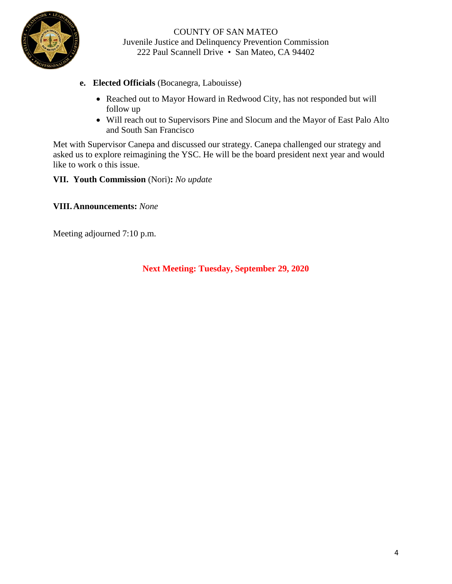

- **e. Elected Officials** (Bocanegra, Labouisse)
	- Reached out to Mayor Howard in Redwood City, has not responded but will follow up
	- Will reach out to Supervisors Pine and Slocum and the Mayor of East Palo Alto and South San Francisco

Met with Supervisor Canepa and discussed our strategy. Canepa challenged our strategy and asked us to explore reimagining the YSC. He will be the board president next year and would like to work o this issue.

**VII. Youth Commission** (Nori)**:** *No update*

**VIII.Announcements:** *None*

Meeting adjourned 7:10 p.m.

**Next Meeting: Tuesday, September 29, 2020**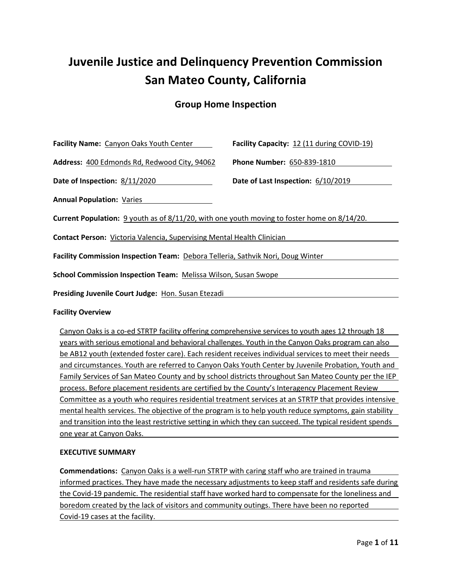# Juvenile Justice and Delinquency Prevention Commission San Mateo County, California

# Group Home Inspection

| Facility Name: Canyon Oaks Youth Center                                                           | Facility Capacity: 12 (11 during COVID-19) |  |
|---------------------------------------------------------------------------------------------------|--------------------------------------------|--|
| Address: 400 Edmonds Rd, Redwood City, 94062                                                      | Phone Number: 650-839-1810                 |  |
| Date of Inspection: 8/11/2020                                                                     | Date of Last Inspection: 6/10/2019         |  |
| <b>Annual Population: Varies</b>                                                                  |                                            |  |
| Current Population: 9 youth as of 8/11/20, with one youth moving to foster home on 8/14/20.       |                                            |  |
| <b>Contact Person: Victoria Valencia, Supervising Mental Health Clinician</b>                     |                                            |  |
| Facility Commission Inspection Team: Debora Telleria, Sathvik Nori, Doug Winter                   |                                            |  |
| <b>School Commission Inspection Team: Melissa Wilson, Susan Swope</b>                             |                                            |  |
| Presiding Juvenile Court Judge: Hon. Susan Etezadi                                                |                                            |  |
| <b>Facility Overview</b>                                                                          |                                            |  |
| Canyon Oaks is a co-ed STRTP facility offering comprehensive services to youth ages 12 through 18 |                                            |  |

years with serious emotional and behavioral challenges. Youth in the Canyon Oaks program can also be AB12 youth (extended foster care). Each resident receives individual services to meet their needs and circumstances. Youth are referred to Canyon Oaks Youth Center by Juvenile Probation, Youth and Family Services of San Mateo County and by school districts throughout San Mateo County per the IEP process. Before placement residents are certified by the County's Interagency Placement Review Committee as a youth who requires residential treatment services at an STRTP that provides intensive mental health services. The objective of the program is to help youth reduce symptoms, gain stability and transition into the least restrictive setting in which they can succeed. The typical resident spends one year at Canyon Oaks.

## EXECUTIVE SUMMARY

Commendations: Canyon Oaks is a well-run STRTP with caring staff who are trained in trauma informed practices. They have made the necessary adjustments to keep staff and residents safe during the Covid-19 pandemic. The residential staff have worked hard to compensate for the loneliness and boredom created by the lack of visitors and community outings. There have been no reported Covid-19 cases at the facility.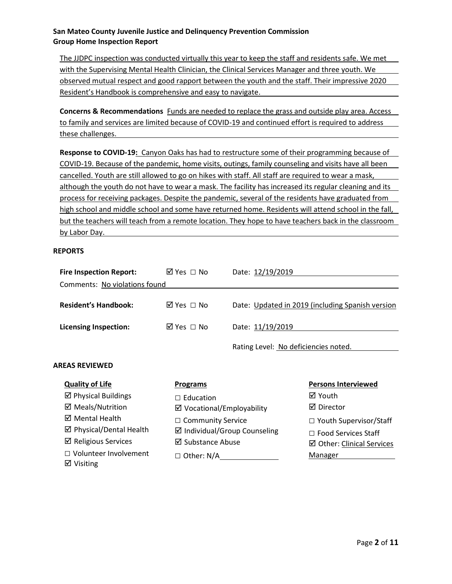The JJDPC inspection was conducted virtually this year to keep the staff and residents safe. We met with the Supervising Mental Health Clinician, the Clinical Services Manager and three youth. We observed mutual respect and good rapport between the youth and the staff. Their impressive 2020 Resident's Handbook is comprehensive and easy to navigate.

Concerns & Recommendations Funds are needed to replace the grass and outside play area. Access to family and services are limited because of COVID-19 and continued effort is required to address these challenges.

Response to COVID-19: Canyon Oaks has had to restructure some of their programming because of COVID-19. Because of the pandemic, home visits, outings, family counseling and visits have all been cancelled. Youth are still allowed to go on hikes with staff. All staff are required to wear a mask, although the youth do not have to wear a mask. The facility has increased its regular cleaning and its process for receiving packages. Despite the pandemic, several of the residents have graduated from high school and middle school and some have returned home. Residents will attend school in the fall, but the teachers will teach from a remote location. They hope to have teachers back in the classroom by Labor Day.

#### REPORTS

**Ø** Visiting

| <b>Fire Inspection Report:</b> | ⊠ Yes □ No                 | Date: 12/19/2019                        |                                                  |
|--------------------------------|----------------------------|-----------------------------------------|--------------------------------------------------|
| Comments: No violations found  |                            |                                         |                                                  |
| <b>Resident's Handbook:</b>    | ⊠ Yes □ No                 |                                         | Date: Updated in 2019 (including Spanish version |
| <b>Licensing Inspection:</b>   | ⊠ Yes □ No                 | Date: 11/19/2019                        |                                                  |
| <b>AREAS REVIEWED</b>          |                            | Rating Level: No deficiencies noted.    |                                                  |
| <b>Quality of Life</b>         | <b>Programs</b>            |                                         | <b>Persons Interviewed</b>                       |
| $\boxtimes$ Physical Buildings | $\Box$ Education           |                                         | ⊠ Youth                                          |
| ☑ Meals/Nutrition              | ☑ Vocational/Employability |                                         | ☑ Director                                       |
| ⊠ Mental Health                | $\Box$ Community Service   |                                         | $\Box$ Youth Supervisor/Staff                    |
| ☑ Physical/Dental Health       |                            | $\boxtimes$ Individual/Group Counseling | $\Box$ Food Services Staff                       |
| $\boxtimes$ Religious Services | ⊠ Substance Abuse          |                                         | ☑ Other: Clinical Services                       |
| $\Box$ Volunteer Involvement   | $\Box$ Other: N/A          |                                         | Manager                                          |

Page 2 of 11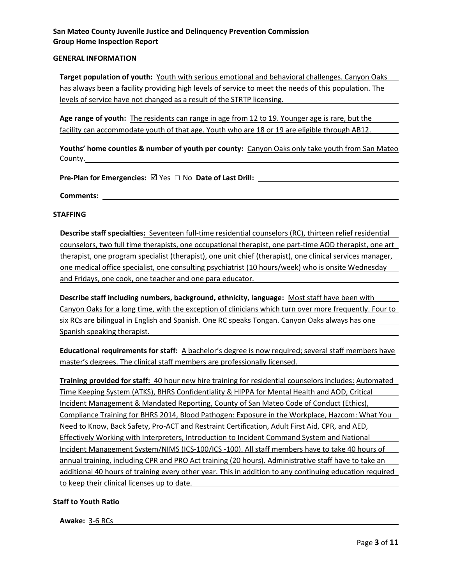#### GENERAL INFORMATION

Target population of youth: Youth with serious emotional and behavioral challenges. Canyon Oaks has always been a facility providing high levels of service to meet the needs of this population. The levels of service have not changed as a result of the STRTP licensing.

Age range of youth: The residents can range in age from 12 to 19. Younger age is rare, but the facility can accommodate youth of that age. Youth who are 18 or 19 are eligible through AB12.

Youths' home counties & number of youth per county: Canyon Oaks only take youth from San Mateo County.

Pre-Plan for Emergencies: Yes □ No Date of Last Drill:

Comments:

#### STAFFING

Describe staff specialties: Seventeen full-time residential counselors (RC), thirteen relief residential counselors, two full time therapists, one occupational therapist, one part-time AOD therapist, one art therapist, one program specialist (therapist), one unit chief (therapist), one clinical services manager, one medical office specialist, one consulting psychiatrist (10 hours/week) who is onsite Wednesday and Fridays, one cook, one teacher and one para educator.

Describe staff including numbers, background, ethnicity, language: Most staff have been with Canyon Oaks for a long time, with the exception of clinicians which turn over more frequently. Four to six RCs are bilingual in English and Spanish. One RC speaks Tongan. Canyon Oaks always has one Spanish speaking therapist.

Educational requirements for staff: A bachelor's degree is now required; several staff members have master's degrees. The clinical staff members are professionally licensed.

Training provided for staff: 40 hour new hire training for residential counselors includes: Automated Time Keeping System (ATKS), BHRS Confidentiality & HIPPA for Mental Health and AOD, Critical Incident Management & Mandated Reporting, County of San Mateo Code of Conduct (Ethics), Compliance Training for BHRS 2014, Blood Pathogen: Exposure in the Workplace, Hazcom: What You Need to Know, Back Safety, Pro-ACT and Restraint Certification, Adult First Aid, CPR, and AED, Effectively Working with Interpreters, Introduction to Incident Command System and National Incident Management System/NIMS (ICS-100/ICS -100). All staff members have to take 40 hours of annual training, including CPR and PRO Act training (20 hours). Administrative staff have to take an additional 40 hours of training every other year. This in addition to any continuing education required to keep their clinical licenses up to date.

#### Staff to Youth Ratio

Awake: 3-6 RCs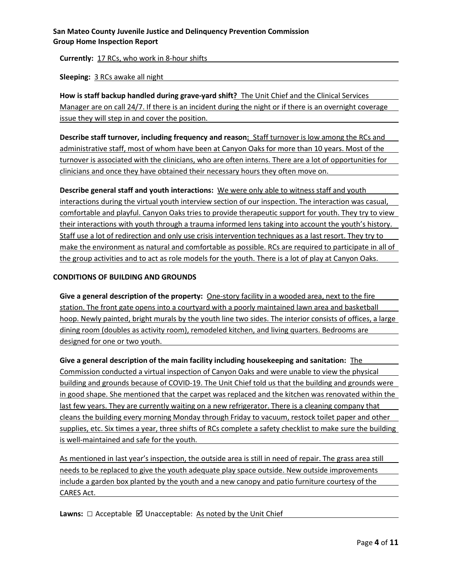Currently: 17 RCs, who work in 8-hour shifts

Sleeping: 3 RCs awake all night

How is staff backup handled during grave-yard shift? The Unit Chief and the Clinical Services Manager are on call 24/7. If there is an incident during the night or if there is an overnight coverage issue they will step in and cover the position.

Describe staff turnover, including frequency and reason: Staff turnover is low among the RCs and administrative staff, most of whom have been at Canyon Oaks for more than 10 years. Most of the turnover is associated with the clinicians, who are often interns. There are a lot of opportunities for clinicians and once they have obtained their necessary hours they often move on.

Describe general staff and youth interactions: We were only able to witness staff and youth interactions during the virtual youth interview section of our inspection. The interaction was casual, comfortable and playful. Canyon Oaks tries to provide therapeutic support for youth. They try to view their interactions with youth through a trauma informed lens taking into account the youth's history. Staff use a lot of redirection and only use crisis intervention techniques as a last resort. They try to make the environment as natural and comfortable as possible. RCs are required to participate in all of the group activities and to act as role models for the youth. There is a lot of play at Canyon Oaks.

## CONDITIONS OF BUILDING AND GROUNDS

Give a general description of the property: One-story facility in a wooded area, next to the fire station. The front gate opens into a courtyard with a poorly maintained lawn area and basketball hoop. Newly painted, bright murals by the youth line two sides. The interior consists of offices, a large dining room (doubles as activity room), remodeled kitchen, and living quarters. Bedrooms are designed for one or two youth.

Give a general description of the main facility including housekeeping and sanitation: The Commission conducted a virtual inspection of Canyon Oaks and were unable to view the physical building and grounds because of COVID-19. The Unit Chief told us that the building and grounds were in good shape. She mentioned that the carpet was replaced and the kitchen was renovated within the last few years. They are currently waiting on a new refrigerator. There is a cleaning company that cleans the building every morning Monday through Friday to vacuum, restock toilet paper and other supplies, etc. Six times a year, three shifts of RCs complete a safety checklist to make sure the building is well-maintained and safe for the youth.

As mentioned in last year's inspection, the outside area is still in need of repair. The grass area still needs to be replaced to give the youth adequate play space outside. New outside improvements include a garden box planted by the youth and a new canopy and patio furniture courtesy of the CARES Act.

**Lawns:**  $\Box$  Acceptable  $\boxtimes$  Unacceptable: As noted by the Unit Chief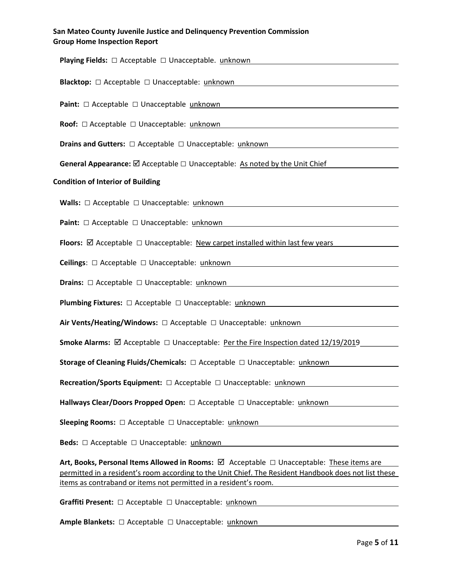| <b>Playing Fields:</b> $\Box$ Acceptable $\Box$ Unacceptable. unknown                                                                                                          |
|--------------------------------------------------------------------------------------------------------------------------------------------------------------------------------|
| Blacktop: □ Acceptable □ Unacceptable: unknown                                                                                                                                 |
| Paint: □ Acceptable □ Unacceptable unknown                                                                                                                                     |
| Roof: $\Box$ Acceptable $\Box$ Unacceptable: unknown<br><u> 1989 - Johann Stoff, deutscher Stoffen und der Stoffen und der Stoffen und der Stoffen und der Stoffen und der</u> |
| <b>Drains and Gutters:</b> $\Box$ Acceptable $\Box$ Unacceptable: $\underline{\text{unknown}}$                                                                                 |
| General Appearance: $\boxtimes$ Acceptable $\square$ Unacceptable: As noted by the Unit Chief                                                                                  |
| <b>Condition of Interior of Building</b>                                                                                                                                       |
| <b>Walls:</b> $\Box$ Acceptable $\Box$ Unacceptable: $\underline{\text{unknown}}$                                                                                              |
|                                                                                                                                                                                |
| Paint: □ Acceptable □ Unacceptable: unknown                                                                                                                                    |
| Floors: $\boxtimes$ Acceptable $\Box$ Unacceptable: New carpet installed within last few years                                                                                 |
| Ceilings: □ Acceptable □ Unacceptable: unknown                                                                                                                                 |
| <b>Drains:</b> □ Acceptable □ Unacceptable: unknown                                                                                                                            |
| <b>Plumbing Fixtures:</b> □ Acceptable □ Unacceptable: unknown                                                                                                                 |
| Air Vents/Heating/Windows: $\Box$ Acceptable $\Box$ Unacceptable: unknown                                                                                                      |
| <b>Smoke Alarms:</b> $\boxtimes$ Acceptable $\Box$ Unacceptable: Per the Fire Inspection dated 12/19/2019                                                                      |
| Storage of Cleaning Fluids/Chemicals: □ Acceptable □ Unacceptable: unknown                                                                                                     |
| <b>Recreation/Sports Equipment:</b> □ Acceptable □ Unacceptable: unknown                                                                                                       |
| Hallways Clear/Doors Propped Open: □ Acceptable □ Unacceptable: unknown                                                                                                        |
| <b>Sleeping Rooms:</b> $\Box$ Acceptable $\Box$ Unacceptable: unknown                                                                                                          |
| <b>Beds:</b> $\Box$ Acceptable $\Box$ Unacceptable: unknown                                                                                                                    |
| Art, Books, Personal Items Allowed in Rooms: <b>Ø</b> Acceptable □ Unacceptable: These items are                                                                               |
| permitted in a resident's room according to the Unit Chief. The Resident Handbook does not list these                                                                          |
| items as contraband or items not permitted in a resident's room.                                                                                                               |

Graffiti Present: □ Acceptable □ Unacceptable: unknown

Ample Blankets: □ Acceptable □ Unacceptable: unknown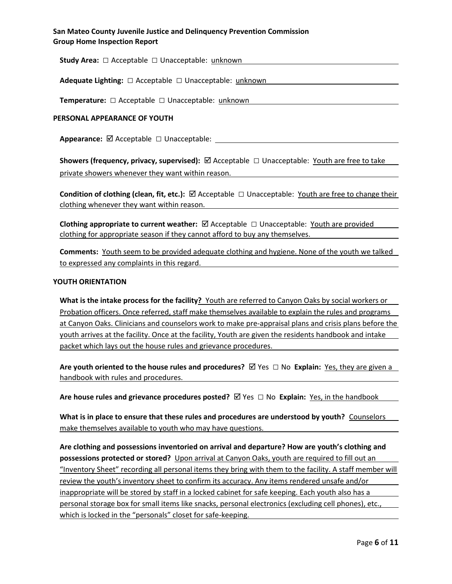Study Area: □ Acceptable □ Unacceptable: unknown

Adequate Lighting: □ Acceptable □ Unacceptable: unknown

Temperature: □ Acceptable □ Unacceptable: unknown

#### PERSONAL APPEARANCE OF YOUTH

Appearance:  $\boxtimes$  Acceptable  $\square$  Unacceptable:

Showers (frequency, privacy, supervised):  $\boxtimes$  Acceptable  $\Box$  Unacceptable: Youth are free to take private showers whenever they want within reason.

Condition of clothing (clean, fit, etc.):  $\boxtimes$  Acceptable  $\Box$  Unacceptable: Youth are free to change their clothing whenever they want within reason.

Clothing appropriate to current weather:  $\boxtimes$  Acceptable  $\Box$  Unacceptable: Youth are provided clothing for appropriate season if they cannot afford to buy any themselves.

Comments: Youth seem to be provided adequate clothing and hygiene. None of the youth we talked to expressed any complaints in this regard.

#### YOUTH ORIENTATION

What is the intake process for the facility? Youth are referred to Canyon Oaks by social workers or Probation officers. Once referred, staff make themselves available to explain the rules and programs at Canyon Oaks. Clinicians and counselors work to make pre-appraisal plans and crisis plans before the youth arrives at the facility. Once at the facility, Youth are given the residents handbook and intake packet which lays out the house rules and grievance procedures.

Are youth oriented to the house rules and procedures?  $\boxtimes$  Yes  $\Box$  No Explain: Yes, they are given a handbook with rules and procedures.

Are house rules and grievance procedures posted?  $\boxtimes$  Yes  $\Box$  No Explain: Yes, in the handbook

What is in place to ensure that these rules and procedures are understood by youth? Counselors make themselves available to youth who may have questions.

Are clothing and possessions inventoried on arrival and departure? How are youth's clothing and possessions protected or stored? Upon arrival at Canyon Oaks, youth are required to fill out an "Inventory Sheet" recording all personal items they bring with them to the facility. A staff member will review the youth's inventory sheet to confirm its accuracy. Any items rendered unsafe and/or inappropriate will be stored by staff in a locked cabinet for safe keeping. Each youth also has a personal storage box for small items like snacks, personal electronics (excluding cell phones), etc., which is locked in the "personals" closet for safe-keeping.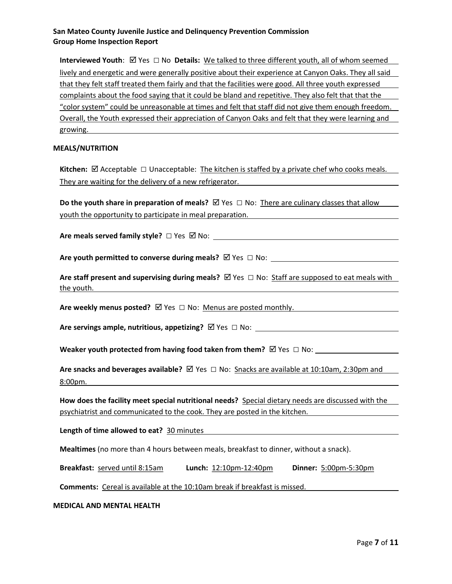Interviewed Youth:  $\boxtimes$  Yes  $\Box$  No Details: We talked to three different youth, all of whom seemed lively and energetic and were generally positive about their experience at Canyon Oaks. They all said that they felt staff treated them fairly and that the facilities were good. All three youth expressed complaints about the food saying that it could be bland and repetitive. They also felt that that the "color system" could be unreasonable at times and felt that staff did not give them enough freedom. Overall, the Youth expressed their appreciation of Canyon Oaks and felt that they were learning and growing.

#### MEALS/NUTRITION

Kitchen:  $\boxtimes$  Acceptable  $\Box$  Unacceptable: The kitchen is staffed by a private chef who cooks meals. They are waiting for the delivery of a new refrigerator.

Do the youth share in preparation of meals?  $\boxtimes$  Yes  $\Box$  No: There are culinary classes that allow youth the opportunity to participate in meal preparation.

Are meals served family style?  $\Box$  Yes  $\Box$  No:  $\Box$  No.  $\Box$  No.  $\Box$  No.  $\Box$  No.  $\Box$  No.  $\Box$  No.  $\Box$  No.  $\Box$  No.  $\Box$  No.  $\Box$  No.  $\Box$  No.  $\Box$  No.  $\Box$  No.  $\Box$  No.  $\Box$  No.  $\Box$  No.  $\Box$  No.  $\Box$  No.  $\Box$  No.

Are youth permitted to converse during meals?  $\boxtimes$  Yes  $\Box$  No:

Are staff present and supervising during meals?  $\boxtimes$  Yes  $\Box$  No: Staff are supposed to eat meals with the youth.

Are weekly menus posted?  $\boxtimes$  Yes  $\Box$  No: Menus are posted monthly.

Are servings ample, nutritious, appetizing?  $\boxtimes$  Yes  $\Box$  No:  $\Box$ 

Weaker youth protected from having food taken from them?  $\boxtimes$  Yes  $\Box$  No:

Are snacks and beverages available?  $\boxtimes$  Yes  $\Box$  No: Snacks are available at 10:10am, 2:30pm and 8:00pm.

How does the facility meet special nutritional needs? Special dietary needs are discussed with the psychiatrist and communicated to the cook. They are posted in the kitchen.

Length of time allowed to eat? 30 minutes

Mealtimes (no more than 4 hours between meals, breakfast to dinner, without a snack).

Breakfast: served until 8:15am Lunch: 12:10pm-12:40pm Dinner: 5:00pm-5:30pm

Comments: Cereal is available at the 10:10am break if breakfast is missed.

MEDICAL AND MENTAL HEALTH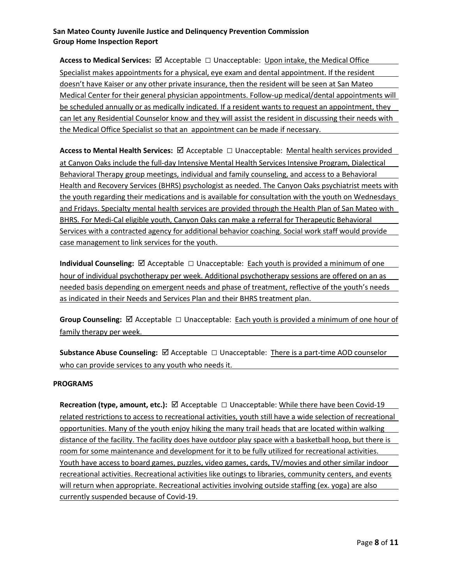Access to Medical Services:  $\boxtimes$  Acceptable  $\Box$  Unacceptable: Upon intake, the Medical Office Specialist makes appointments for a physical, eye exam and dental appointment. If the resident doesn't have Kaiser or any other private insurance, then the resident will be seen at San Mateo Medical Center for their general physician appointments. Follow-up medical/dental appointments will be scheduled annually or as medically indicated. If a resident wants to request an appointment, they can let any Residential Counselor know and they will assist the resident in discussing their needs with the Medical Office Specialist so that an appointment can be made if necessary.

Access to Mental Health Services:  $\boxtimes$  Acceptable  $\Box$  Unacceptable: Mental health services provided at Canyon Oaks include the full-day Intensive Mental Health Services Intensive Program, Dialectical Behavioral Therapy group meetings, individual and family counseling, and access to a Behavioral Health and Recovery Services (BHRS) psychologist as needed. The Canyon Oaks psychiatrist meets with the youth regarding their medications and is available for consultation with the youth on Wednesdays and Fridays. Specialty mental health services are provided through the Health Plan of San Mateo with BHRS. For Medi-Cal eligible youth, Canyon Oaks can make a referral for Therapeutic Behavioral Services with a contracted agency for additional behavior coaching. Social work staff would provide case management to link services for the youth.

Individual Counseling:  $\boxtimes$  Acceptable  $\Box$  Unacceptable: Each youth is provided a minimum of one hour of individual psychotherapy per week. Additional psychotherapy sessions are offered on an as needed basis depending on emergent needs and phase of treatment, reflective of the youth's needs as indicated in their Needs and Services Plan and their BHRS treatment plan.

Group Counseling:  $\boxtimes$  Acceptable  $\Box$  Unacceptable: Each youth is provided a minimum of one hour of family therapy per week.

Substance Abuse Counseling:  $\boxtimes$  Acceptable  $\Box$  Unacceptable: There is a part-time AOD counselor who can provide services to any youth who needs it.

## PROGRAMS

Recreation (type, amount, etc.):  $\boxtimes$  Acceptable  $\Box$  Unacceptable: While there have been Covid-19 related restrictions to access to recreational activities, youth still have a wide selection of recreational opportunities. Many of the youth enjoy hiking the many trail heads that are located within walking distance of the facility. The facility does have outdoor play space with a basketball hoop, but there is room for some maintenance and development for it to be fully utilized for recreational activities. Youth have access to board games, puzzles, video games, cards, TV/movies and other similar indoor recreational activities. Recreational activities like outings to libraries, community centers, and events will return when appropriate. Recreational activities involving outside staffing (ex. yoga) are also currently suspended because of Covid-19.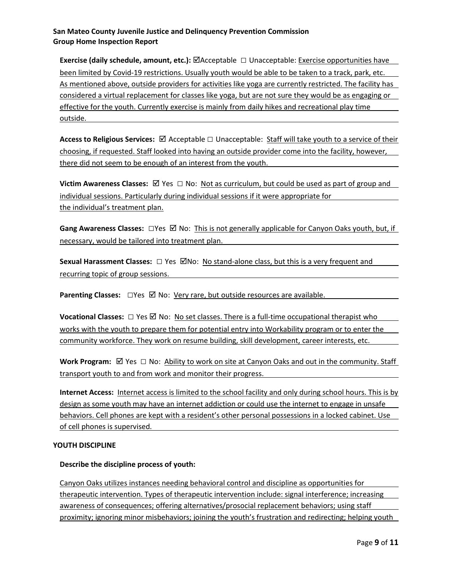Exercise (daily schedule, amount, etc.): ØAcceptable □ Unacceptable: Exercise opportunities have been limited by Covid-19 restrictions. Usually youth would be able to be taken to a track, park, etc. As mentioned above, outside providers for activities like yoga are currently restricted. The facility has considered a virtual replacement for classes like yoga, but are not sure they would be as engaging or effective for the youth. Currently exercise is mainly from daily hikes and recreational play time outside.

Access to Religious Services:  $\boxtimes$  Acceptable  $\Box$  Unacceptable: Staff will take youth to a service of their choosing, if requested. Staff looked into having an outside provider come into the facility, however, there did not seem to be enough of an interest from the youth.

Victim Awareness Classes:  $\boxtimes$  Yes  $\Box$  No: <u>Not as curriculum, but could be used as part of group and</u> individual sessions. Particularly during individual sessions if it were appropriate for the individual's treatment plan.

Gang Awareness Classes:  $\square$  Yes  $\square$  No: This is not generally applicable for Canyon Oaks youth, but, if necessary, would be tailored into treatment plan.

Sexual Harassment Classes:  $\Box$  Yes  $\Box$  No: No stand-alone class, but this is a very frequent and recurring topic of group sessions.

Parenting Classes: □Yes **Ø No: Very rare, but outside resources are available.** 

**Vocational Classes:**  $\Box$  Yes  $\Box$  No: No set classes. There is a full-time occupational therapist who works with the youth to prepare them for potential entry into Workability program or to enter the community workforce. They work on resume building, skill development, career interests, etc.

Work Program:  $\boxtimes$  Yes  $\Box$  No: Ability to work on site at Canyon Oaks and out in the community. Staff transport youth to and from work and monitor their progress.

Internet Access: Internet access is limited to the school facility and only during school hours. This is by design as some youth may have an internet addiction or could use the internet to engage in unsafe behaviors. Cell phones are kept with a resident's other personal possessions in a locked cabinet. Use of cell phones is supervised.

## YOUTH DISCIPLINE

# Describe the discipline process of youth:

Canyon Oaks utilizes instances needing behavioral control and discipline as opportunities for therapeutic intervention. Types of therapeutic intervention include: signal interference; increasing awareness of consequences; offering alternatives/prosocial replacement behaviors; using staff proximity; ignoring minor misbehaviors; joining the youth's frustration and redirecting; helping youth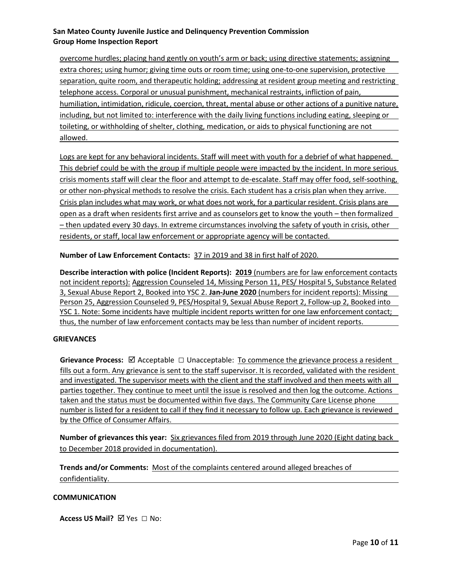overcome hurdles; placing hand gently on youth's arm or back; using directive statements; assigning extra chores; using humor; giving time outs or room time; using one-to-one supervision, protective separation, quite room, and therapeutic holding; addressing at resident group meeting and restricting telephone access. Corporal or unusual punishment, mechanical restraints, infliction of pain, humiliation, intimidation, ridicule, coercion, threat, mental abuse or other actions of a punitive nature, including, but not limited to: interference with the daily living functions including eating, sleeping or toileting, or withholding of shelter, clothing, medication, or aids to physical functioning are not allowed.

Logs are kept for any behavioral incidents. Staff will meet with youth for a debrief of what happened. This debrief could be with the group if multiple people were impacted by the incident. In more serious crisis moments staff will clear the floor and attempt to de-escalate. Staff may offer food, self-soothing, or other non-physical methods to resolve the crisis. Each student has a crisis plan when they arrive. Crisis plan includes what may work, or what does not work, for a particular resident. Crisis plans are open as a draft when residents first arrive and as counselors get to know the youth – then formalized – then updated every 30 days. In extreme circumstances involving the safety of youth in crisis, other residents, or staff, local law enforcement or appropriate agency will be contacted.

Number of Law Enforcement Contacts: 37 in 2019 and 38 in first half of 2020.

Describe interaction with police (Incident Reports): 2019 (numbers are for law enforcement contacts not incident reports): Aggression Counseled 14, Missing Person 11, PES/ Hospital 5, Substance Related 3, Sexual Abuse Report 2, Booked into YSC 2. Jan-June 2020 (numbers for incident reports): Missing Person 25, Aggression Counseled 9, PES/Hospital 9, Sexual Abuse Report 2, Follow-up 2, Booked into YSC 1. Note: Some incidents have multiple incident reports written for one law enforcement contact; thus, the number of law enforcement contacts may be less than number of incident reports.

#### **GRIEVANCES**

Grievance Process:  $\boxtimes$  Acceptable  $\Box$  Unacceptable: To commence the grievance process a resident fills out a form. Any grievance is sent to the staff supervisor. It is recorded, validated with the resident and investigated. The supervisor meets with the client and the staff involved and then meets with all parties together. They continue to meet until the issue is resolved and then log the outcome. Actions taken and the status must be documented within five days. The Community Care License phone number is listed for a resident to call if they find it necessary to follow up. Each grievance is reviewed by the Office of Consumer Affairs.

Number of grievances this year: Six grievances filed from 2019 through June 2020 (Eight dating back to December 2018 provided in documentation).

Trends and/or Comments: Most of the complaints centered around alleged breaches of confidentiality.

#### **COMMUNICATION**

Access US Mail?  $\nabla$  Yes  $\Box$  No: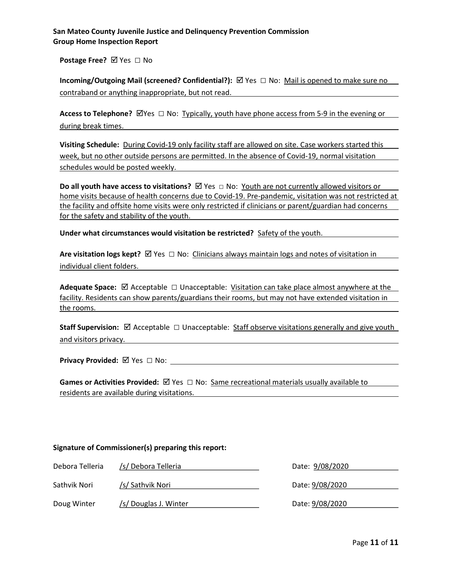Postage Free? Ø Yes □ No

Incoming/Outgoing Mail (screened? Confidential?):  $\boxtimes$  Yes  $\Box$  No: Mail is opened to make sure no contraband or anything inappropriate, but not read.

Access to Telephone?  $\boxtimes$  Yes  $\Box$  No: Typically, youth have phone access from 5-9 in the evening or during break times. The same of the same of the same of the same of the same of the same of the same of the same of the same of the same of the same of the same of the same of the same of the same of the same of the same o

Visiting Schedule: During Covid-19 only facility staff are allowed on site. Case workers started this week, but no other outside persons are permitted. In the absence of Covid-19, normal visitation schedules would be posted weekly.

Do all youth have access to visitations?  $✓$  Yes  $□$  No: Youth are not currently allowed visitors or home visits because of health concerns due to Covid-19. Pre-pandemic, visitation was not restricted at the facility and offsite home visits were only restricted if clinicians or parent/guardian had concerns for the safety and stability of the youth.

Under what circumstances would visitation be restricted? Safety of the youth.

Are visitation logs kept?  $\boxtimes$  Yes  $\Box$  No: Clinicians always maintain logs and notes of visitation in individual client folders.

Adequate Space:  $\boxtimes$  Acceptable  $\Box$  Unacceptable: Visitation can take place almost anywhere at the facility. Residents can show parents/guardians their rooms, but may not have extended visitation in the rooms.

Staff Supervision:  $\boxtimes$  Acceptable  $\Box$  Unacceptable: Staff observe visitations generally and give youth and visitors privacy.

Privacy Provided: Yes □ No:

Games or Activities Provided:  $\boxtimes$  Yes  $\Box$  No: Same recreational materials usually available to residents are available during visitations.

#### Signature of Commissioner(s) preparing this report:

| Debora Telleria | /s/ Debora Telleria   | Date: 9/08/2020 |
|-----------------|-----------------------|-----------------|
|                 |                       |                 |
| Sathvik Nori    | /s/ Sathvik Nori      | Date: 9/08/2020 |
| Doug Winter     | /s/ Douglas J. Winter | Date: 9/08/2020 |
|                 |                       |                 |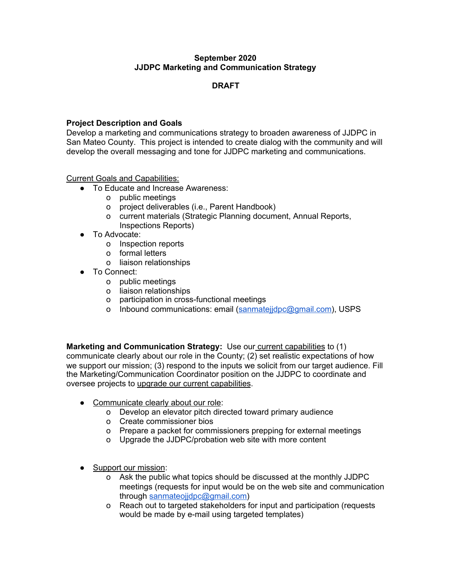# **September 2020 JJDPC Marketing and Communication Strategy**

# **DRAFT**

# **Project Description and Goals**

Develop a marketing and communications strategy to broaden awareness of JJDPC in San Mateo County. This project is intended to create dialog with the community and will develop the overall messaging and tone for JJDPC marketing and communications.

Current Goals and Capabilities:

- To Educate and Increase Awareness:
	- o public meetings
	- o project deliverables (i.e., Parent Handbook)
	- o current materials (Strategic Planning document, Annual Reports, Inspections Reports)
- To Advocate:
	- o Inspection reports
	- o formal letters
	- o liaison relationships
- To Connect:
	- o public meetings
	- o liaison relationships
	- o participation in cross-functional meetings
	- o Inbound communications: email [\(sanmatejjdpc@gmail.com](mailto:sanmatejjdpc@gmail.com)), USPS

**Marketing and Communication Strategy:** Use our current capabilities to (1) communicate clearly about our role in the County; (2) set realistic expectations of how we support our mission; (3) respond to the inputs we solicit from our target audience. Fill the Marketing/Communication Coordinator position on the JJDPC to coordinate and oversee projects to upgrade our current capabilities.

- Communicate clearly about our role:
	- o Develop an elevator pitch directed toward primary audience
	- o Create commissioner bios
	- o Prepare a packet for commissioners prepping for external meetings
	- o Upgrade the JJDPC/probation web site with more content
- Support our mission:
	- o Ask the public what topics should be discussed at the monthly JJDPC meetings (requests for input would be on the web site and communication through sanmateoiidpc@gmail.com)
	- o Reach out to targeted stakeholders for input and participation (requests would be made by e-mail using targeted templates)